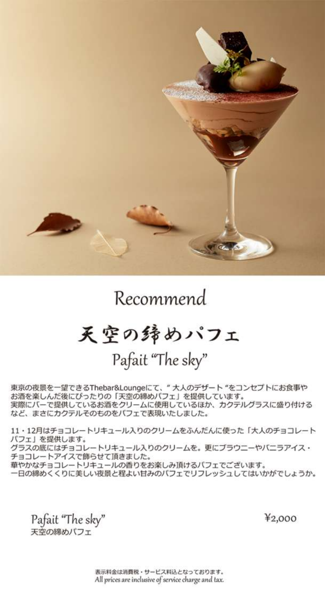

## Recommend

## 天空の歸めパフェ

Pafait "The sky"

東京の夜景を一望できるThebar&Loungeにて、"大人のデザート"をコンセプトにお食事や お酒を楽しんだ後にぴったりの「天空の締めパフェ」を提供しています。 実際にバーで提供しているお酒をクリームに使用しているほか、カクテルグラスに盛り付ける など、まさにカクテルそのものをバフェで表現いたしました。

11 · 12月はチョコレートリキュール入りのクリームをふんだんに使った「大人のチョコレート バフェ」を提供します。 グラスの底にはチョコレートリキュール入りのクリームを。更にブラウニーやバニラアイス· チョコレートアイスで飾らせて頂きました。 華やかなチョコレートリキュールの香りをお楽しみ頂けるパフェでございます。 一日の締めくくりに美しい夜景と程よい甘みのバフェでリフレッシュしてはいかがでしょうか。

Pafait "The sky" 天空の締めパフェ

¥2,000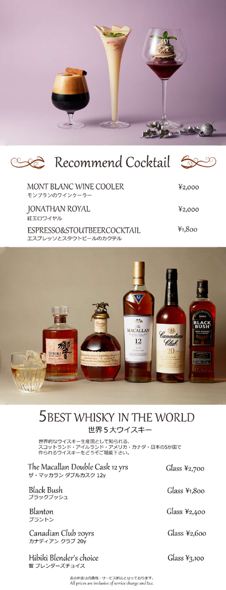

|  | Cocktail Socktail Socktail Socktail Socktail Socktail Socktail Socktail Socktail Socktail Socktail Sockta |  |  |
|--|-----------------------------------------------------------------------------------------------------------|--|--|
|--|-----------------------------------------------------------------------------------------------------------|--|--|

| MONT BLANC WINE COOLER<br>モンプランのワインクーラー           | 42,000 |
|---------------------------------------------------|--------|
| JONATHAN ROYAL<br>紅玉ロワイヤル                         | 42,000 |
| ESPRESSO&STOUTBEERCOCKTAIL<br>エスプレッソとスタウトビールのカクテル | 41,800 |
|                                                   |        |



## 5 BEST WHISKY IN THE WORLD 世界5大ウイスキー

世界的なウイスキー生産国として知られる、<br>スコットランド・アイルランド・アメリカ・カナダ・日本の5か国で<br>作られるウイスキーをどうぞご堪能下さい。

The Macallan Double Cask 12 yrs ザ・マッカラン ダブルカスク 12y

**Black Bush** し…… し……<br>ブラックブッシュ

Blanton ブラントン

Canadian Club 20yrs<br>カナディアン クラブ 20y

Hibiki Blender's choice 響 ブレンダーズチョイス

Glass ¥2,700

ೂ

Glass ¥1,800

Glass ¥2,400

Glass  $42,600$ 

Glass ¥3,100

表示料金は消費税・サービス料込となっております。<br>All prices are inclusive of service charge and tax.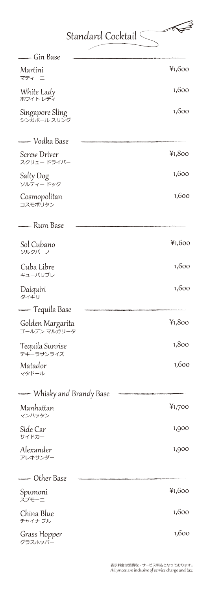Standard Cocktail  $\leq$ 

 $\begin{array}{c} \sqrt{2} \end{array}$ 

D

 $\overline{ }$ 

| — Gin Base                       |        |
|----------------------------------|--------|
| Martini<br>マティーニ                 | 41,600 |
| White Lady<br>ホワイト レディ           | 1,600  |
| Singapore Sling<br>シンガポール スリング   | 1,600  |
| — Vodka Base                     |        |
| Screw Driver<br>スクリュー ドライバー      | 41,800 |
| Salty Dog<br>ソルティードッグ            | 1,600  |
| Cosmopolitan<br>コスモポリタン          | 1,600  |
| — Rum Base                       |        |
| Sol Cubano<br>ソルクバーノ             | 41,600 |
| Cuba Libre<br>キューバリブレ            | 1,600  |
| Daiquiri<br>ダイキリ                 | 1,600  |
| —— Tequila Base                  |        |
| Golden Margarita<br>ゴールデン マルガリータ | 41,800 |
| Tequila Sunrise<br>テキーラサンライズ     | 1,800  |
| Matador<br>マタドール                 | 1,600  |
| Whisky and Brandy Base           |        |
| Manhattan<br>マンハッタン              | 41,700 |
| Side Car<br>サイドカー                | 1,900  |
| Alexander<br>アレキサンダー             | 1,900  |
| — Other Base                     |        |
| Spumoni<br>スプモーニ                 | 41,600 |
| China Blue<br>チャイナ ブルー           | 1,600  |
| Grass Hopper<br>グラスホッパー          | 1,600  |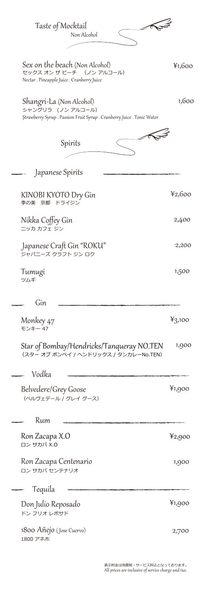| Taste of Mocktail<br>Non Alcohol                                                                                        |                    |
|-------------------------------------------------------------------------------------------------------------------------|--------------------|
| Sex on the beach (Non Alcohol)<br>セックス オンザビーチ (ノンアルコール)<br>Nectar. Pineapple Juice. Cranberry Juice                     | 41,600             |
| Shangri-La (Non Alcohol)<br>シャングリラ (ノン アルコール)<br>Strawberry Syrup . Passion Fruit Syrup . Cranberry Juice . Tonic Water | 1,600              |
| Spirits                                                                                                                 |                    |
| Japanese Spirits                                                                                                        |                    |
| KINOBI KYOTO Dry Gin<br>ドライジン<br>季の美<br>京都                                                                              | 42,600             |
| Nikka Coffey Gin<br>ニッカ カフェ ジン                                                                                          | 2,400              |
| Japanese Craft Gin "ROKU"<br>ジャパニーズ クラフト ジン ロク                                                                          | 2,200              |
| Tumugi<br>ツムギ                                                                                                           | 1,500              |
|                                                                                                                         |                    |
| Gin                                                                                                                     |                    |
| Monkey 47<br>モンキ                                                                                                        | 43,100             |
| Star of Bombay/Hendricks/Tanqueray NO.TEN<br>(スター オブ ボンベイ / ヘンドリックス / タンカレーNo.TEN)                                      | 1,900              |
| Vodka                                                                                                                   |                    |
| Belvedere/Grey Goose<br>(ベルヴェデール / グレイ グース)                                                                             | 41,900             |
| Rum                                                                                                                     |                    |
| Ron Zacapa X.O<br>ロン サカパ X.O                                                                                            | $\frac{1}{2}$ ,900 |
| Ron Zacapa Centenario<br>ロン サカパ センテナリオ                                                                                  | 1,900              |
| Tequila                                                                                                                 |                    |
| Don Julio Reposado<br>ドン フリオ レポサド                                                                                       | ¥1,900             |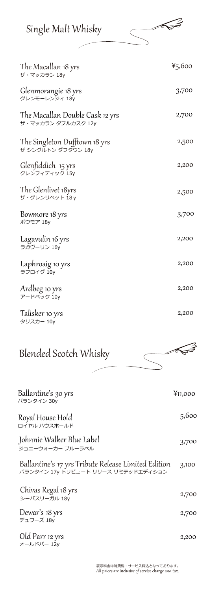| Single Malt Whisky | ≤⋛ |
|--------------------|----|
|                    |    |

| The Macallan 18 yrs<br>ザ・マッカラン 18y                    | 45,600 |
|-------------------------------------------------------|--------|
| Glenmorangie 18 yrs<br>グレンモーレンジィ 18y                  | 3,700  |
| The Macallan Double Cask 12 yrs<br>ザ・マッカラン ダブルカスク 12y | 2,700  |
| The Singleton Dufftown 18 yrs<br>ザ シングルトン ダフタウン 18y   | 2,500  |
| Glenfiddich 15 yrs<br>グレンフィディック 15y                   | 2,200  |
| The Glenlivet 18yrs<br>ザ・グレンリベット 18y                  | 2,500  |
| Bowmore 18 yrs<br>ボウモア 18y                            | 3,700  |
| Lagavulin 16 yrs<br>ラガヴーリン 16y                        | 2,200  |
| Laphroaig 10 yrs<br>ラフロイグ 10y                         | 2,200  |
| Ardbeg 10 yrs<br>アードベック 10v                           | 2,200  |
| Talisker 10 yrs<br>タリスカー 10v                          | 2,200  |

## Blended Scotch Whisky

| Ballantine's 30 yrs<br>バランタイン 30y                                                         | ¥11,000 |
|-------------------------------------------------------------------------------------------|---------|
| Royal House Hold<br>ロイヤル ハウスホールド                                                          | 5,600   |
| Johnnie Walker Blue Label<br>ジョニーウォーカー ブルーラベル                                             | 3,700   |
| Ballantine's 17 yrs Tribute Release Limited Edition<br>バランタイン 17v トリビュート リリース リミテッドエディション | 3,100   |
| Chivas Regal 18 yrs<br>シーバスリーガル 18y                                                       | 2,700   |
| Dewar's 18 yrs<br>デュワーズ 18y                                                               | 2,700   |
| Old Parr 12 yrs<br>オールドパー 12y                                                             | 2,200   |

Notes

 $\overline{\phantom{0}}$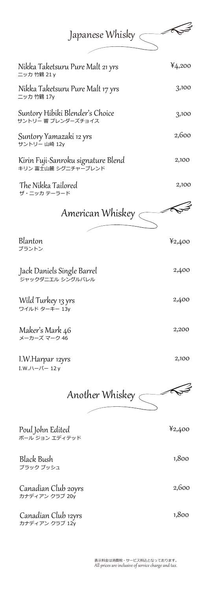| Japanese Whisky $\subset$                                 |          |
|-----------------------------------------------------------|----------|
| Nikka Taketsuru Pure Malt 21 yrs<br>ニッカ 竹鶴 21 y           | 4,200    |
| Nikka Taketsuru Pure Malt 17 yrs<br>ニッカ 竹鶴 17y            | 3,100    |
| Suntory Hibiki Blender's Choice<br>サントリー 響 ブレンダーズチョイス     | 3,100    |
| Suntory Yamazaki 12 yrs<br>サントリー 山崎 12y                   | 2,600    |
| Kirin Fuji-Sanroku signature Blend<br>キリン 富士山麓 シグニチャーブレンド | 2,100    |
| The Nikka Tailored<br>ザ・ニッカ テーラード                         | 2,100    |
| American Whiskey $\sub$                                   |          |
| Blanton<br>ブラントン                                          | 42,400   |
| Jack Daniels Single Barrel<br>ジャックダニエル シングルバレル            | 2,400    |
| Wild Turkey 13 yrs<br>ワイルド ターキー 13y                       | 2,400    |
| Maker's Mark 46<br>メーカーズ マーク 46                           | 2,200    |
| 1.W.Harpar 12yrs<br>$I.W.J \leftarrow J(-12y)$            | 2,100    |
| Another Whiskey $\epsilon$                                |          |
| Poul John Edited<br>ポール ジョン エディテッド                        | $*2,400$ |
| <b>Black Bush</b><br>ブラック ブッシュ                            | 1,800    |
| Canadian Club 20yrs<br>カナディアン クラブ 20y                     | 2,600    |
| Canadian Club 12yrs<br>カナディアン クラブ 12y                     | 1,800    |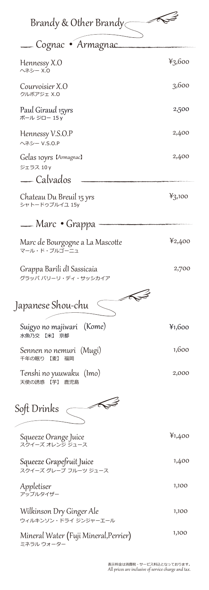| Brandy & Other Brandy                              |        |
|----------------------------------------------------|--------|
| Cognac • Armagnac                                  |        |
| Hennessy X.O<br>ヘネシー X.0                           | 43,600 |
| Courvoisier X.O<br>クルボアジェ X.0                      | 3,600  |
| Paul Giraud 15yrs<br>ポール ジロー 15 y                  | 2,500  |
| Hennessy V.S.O.P<br>ヘネシー V.S.O.P                   | 2,400  |
| Gelas 10yrs IArmagnacl<br>ジェラス 10 y                | 2,400  |
| — Calvados                                         |        |
| Chateau Du Breuil 15 yrs<br>シャトードゥブルイユ 15y         | 43,100 |
| — Marc • Grappa                                    |        |
| Marc de Bourgogne a La Mascotte<br>マール・ド・ブルゴーニュ    | 42,400 |
| Grappa Barili dI Sassicaia<br>グラッパ バリーリ・ディ・サッシカイア  | 2,700  |
| F<br>Japanese Shou-chu                             |        |
| Suigyo no majiwari (Kome)<br>水魚乃交 【米】<br>京都        | ¥1,600 |
| Sennen no nemuri (Mugi)<br>千年の眠り<br>【麦】<br>福岡      | 1,600  |
| Tenshi no yuuwaku (Imo)<br>天使の誘惑 【芋】<br>鹿児島        | 2,000  |
| ╱<br>Soft Drinks                                   |        |
| Squeeze Orange Juice<br>スクイーズ オレンジ ジュース            | 41,400 |
| Squeeze Grapefruit Juice<br>スクイーズ グレープ フルーツ ジュース   | 1,400  |
| Appletiser<br>アップルタイザー                             | 1,100  |
| Wilkinson Dry Ginger Ale<br>ウィルキンソン・ドライ ジンジャーエール   | 1,100  |
| Mineral Water (Fuji Mineral,Perrier)<br>ミネラル ウォーター | 1,100  |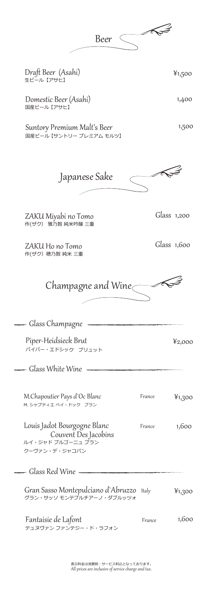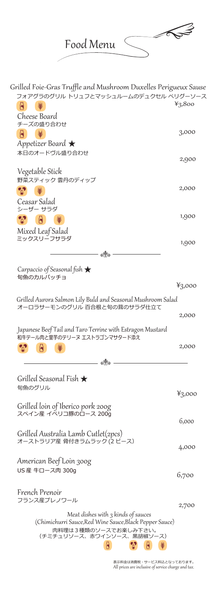1003 Food Menu ヽ

| Grilled Foie-Gras Truffle and Mushroom Duxelles Perigueux Sause                            |        |
|--------------------------------------------------------------------------------------------|--------|
| フォアグラのグリル トリュフとマッシュルームのデュクセル ペリグーソース                                                       | 43,800 |
| A<br>Cheese Board                                                                          |        |
| チーズの盛り合わせ                                                                                  |        |
|                                                                                            | 3,000  |
| Appetizer Board $\bigstar$                                                                 |        |
| 本日のオードヴル盛り合わせ                                                                              | 2,900  |
| Vegetable Stick                                                                            |        |
| 野菜スティック 雲丹のディップ                                                                            |        |
|                                                                                            | 2,000  |
| Ceasar Salad                                                                               |        |
| シーザー サラダ                                                                                   | 1,900  |
| A                                                                                          |        |
| Mixed Leaf Salad<br>ミックスリーフサラダ                                                             |        |
|                                                                                            | 1,900  |
| ෯                                                                                          |        |
| Carpaccio of Seasonal fish $\bigstar$                                                      |        |
| 旬魚のカルパッチョ                                                                                  |        |
|                                                                                            | 43,000 |
| Grilled Aurora Salmon Lily Buld and Seasonal Mushroom Salad<br>オーロラサーモンのグリル 百合根と旬の茸のサラダ仕立て |        |
|                                                                                            | 2,000  |
| Japanese Beef Tail and Taro Terrine with Estragon Mustard                                  |        |
| 和牛テール肉と里芋のテリーヌ エストラゴンマサタード添え                                                               |        |
| A                                                                                          | 2,000  |
| o 10                                                                                       |        |
|                                                                                            |        |
| Grilled Seasonal Fish $\bigstar$<br>旬魚のグリル                                                 |        |
|                                                                                            | 43,000 |
| Grilled loin of Iberico pork 200g                                                          |        |
| スペイン産 イベリコ豚のロース 200g                                                                       | 6,000  |
|                                                                                            |        |
| Grilled Australia Lamb Cutlet(2pcs)<br>オーストラリア産 骨付きラムラック(2 ピース)                            |        |
|                                                                                            | 4,000  |
| American Beef Loin 300g                                                                    |        |
| US 産 牛ロース肉 300g                                                                            | 6,700  |
|                                                                                            |        |
| French Prenoir                                                                             |        |
| フランス産プレノワール                                                                                | 2,700  |
| Meat dishes with 3 kinds of sauces                                                         |        |
| (Chimichurri Sauce, Red Wine Sauce, Black Pepper Sauce)<br>肉料理は3種類のソースでお楽しみ下さい。            |        |
| (チミチュリソース、赤ワインソース、黒胡椒ソース)                                                                  |        |
|                                                                                            |        |

All prices are inclusive of service charge and tax. 表示料金は消費税・サービス料込となっております。